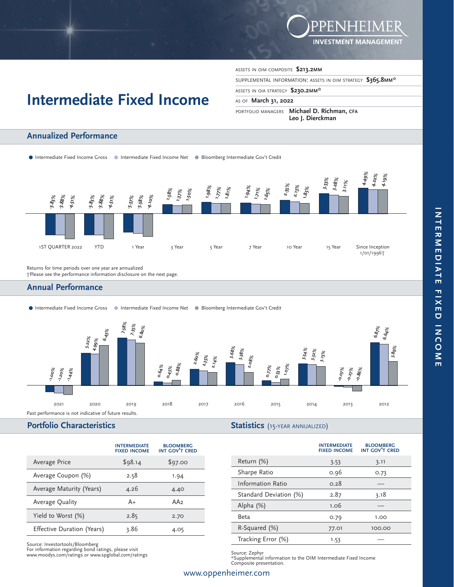

# ASSETS IN OIM COMPOSITE **\$213.2MM**

SUPPLEMENTAL INFORMATION: ASSETS IN OIM STRATEGY **\$365.8MM\*** 

### ASSETS IN OIA STRATEGY **\$230.2MM\***

#### AS OF **March 31, 2022**

PORTFOLIO MANAGERS **Michael D. Richman, CFA Leo J. Dierckman**

# **Annualized Performance**

● Intermediate Fixed Income Gross ● Intermediate Fixed Income Net ● Bloomberg Intermediate Gov't Credit

**Intermediate Fixed Income**



 Returns for time periods over one year are annualized †Please see the performance information disclosure on the next page.

# **Annual Performance**

.Intermediate Fixed Income Gross .Intermediate Fixed Income Net .Bloomberg Intermediate Gov't Credit



#### **Portfolio Characteristics**

**INTERMEDIATE FIXED INCOME BLOOMBERG INT GOV'T CRED** Average Price \$98.14 \$97.00 Average Coupon (%) 2.58 1.94 Average Maturity (Years) 4.26 4.40 Average Quality **A** A<sub>+</sub> AA<sub>2</sub> Yield to Worst (%) 2.85 2.70 Effective Duration (Years) 3.86 4.05

Source: Investortools/Bloomberg For information regarding bond ratings, please visit www.moodys.com/ratings or www.spglobal.com/ratings

**Statistics** (15-YEAR ANNUALIZED)

|                          | <b>INTERMEDIATE</b><br><b>FIXED INCOME</b> | <b>BLOOMBERG</b><br><b>INT GOV'T CRED</b> |
|--------------------------|--------------------------------------------|-------------------------------------------|
| Return (%)               | 3.53                                       | 3.11                                      |
| Sharpe Ratio             | 0.96                                       | 0.73                                      |
| <b>Information Ratio</b> | 0.28                                       |                                           |
| Standard Deviation (%)   | 2.87                                       | 3.18                                      |
| Alpha (%)                | 1.06                                       |                                           |
| Beta                     | 0.79                                       | 1.00                                      |
| R-Squared (%)            | 77.01                                      | 100.00                                    |
| Tracking Error (%)       | 1.53                                       |                                           |

Source: Zephyr \*Supplemental information to the OIM Intermediate Fixed Income Composite presentation.

## www.oppenheimer.com